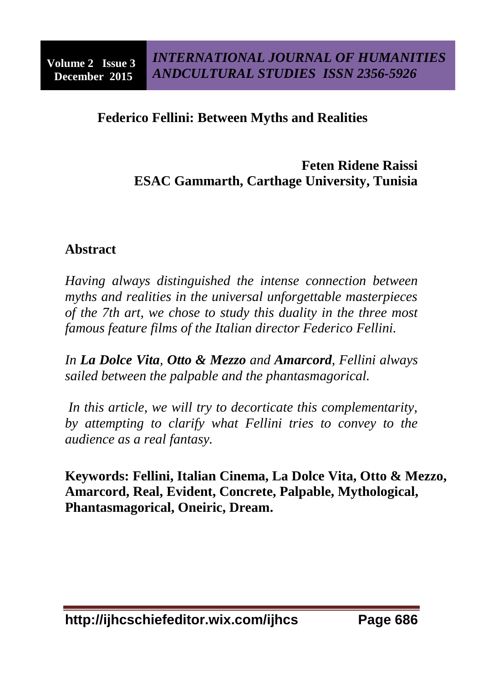# **Federico Fellini: Between Myths and Realities**

# **Feten Ridene Raissi ESAC Gammarth, Carthage University, Tunisia**

## **Abstract**

*Having always distinguished the intense connection between myths and realities in the universal unforgettable masterpieces of the 7th art, we chose to study this duality in the three most famous feature films of the Italian director Federico Fellini.*

*In La Dolce Vita, Otto & Mezzo and Amarcord, Fellini always sailed between the palpable and the phantasmagorical.*

*In this article, we will try to decorticate this complementarity, by attempting to clarify what Fellini tries to convey to the audience as a real fantasy.*

**Keywords: Fellini, Italian Cinema, La Dolce Vita, Otto & Mezzo, Amarcord, Real, Evident, Concrete, Palpable, Mythological, Phantasmagorical, Oneiric, Dream.**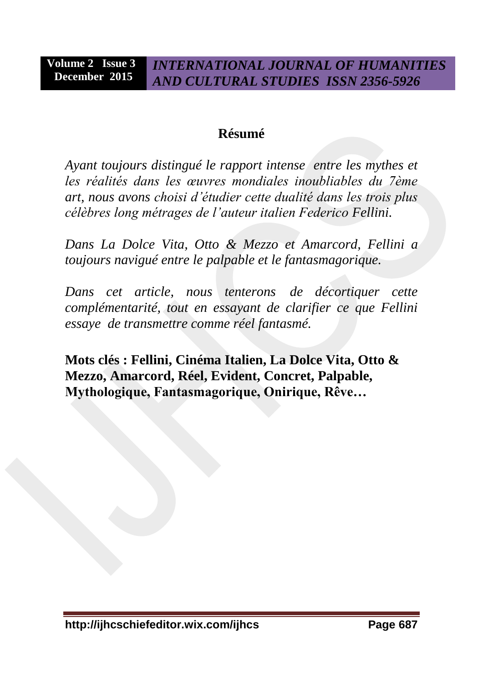## **Résumé**

*Ayant toujours distingué le rapport intense entre les mythes et les réalités dans les œuvres mondiales inoubliables du 7ème art, nous avons choisi d'étudier cette dualité dans les trois plus célèbres long métrages de l'auteur italien Federico Fellini.*

*Dans La Dolce Vita, Otto & Mezzo et Amarcord, Fellini a toujours navigué entre le palpable et le fantasmagorique.*

*Dans cet article, nous tenterons de décortiquer cette complémentarité, tout en essayant de clarifier ce que Fellini essaye de transmettre comme réel fantasmé.*

**Mots clés : Fellini, Cinéma Italien, La Dolce Vita, Otto & Mezzo, Amarcord, Réel, Evident, Concret, Palpable, Mythologique, Fantasmagorique, Onirique, Rêve…**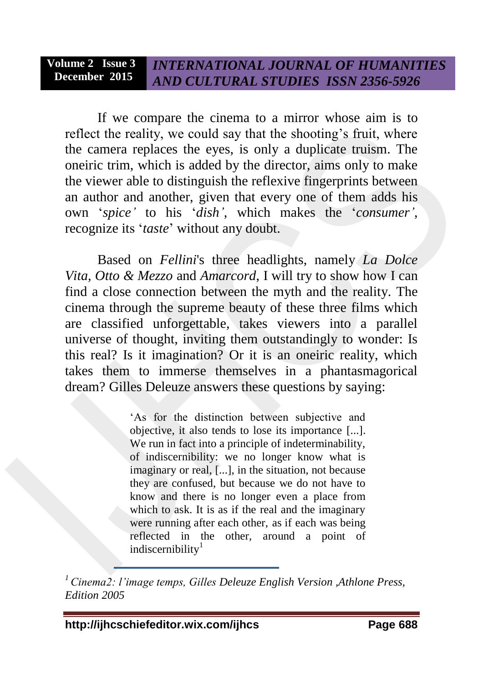If we compare the cinema to a mirror whose aim is to reflect the reality, we could say that the shooting's fruit, where the camera replaces the eyes, is only a duplicate truism. The oneiric trim, which is added by the director, aims only to make the viewer able to distinguish the reflexive fingerprints between an author and another, given that every one of them adds his own '*spice'* to his '*dish'*, which makes the '*consumer'*, recognize its '*taste*' without any doubt.

Based on *Fellini*'s three headlights, namely *La Dolce Vita, Otto & Mezzo* and *Amarcord*, I will try to show how I can find a close connection between the myth and the reality. The cinema through the supreme beauty of these three films which are classified unforgettable, takes viewers into a parallel universe of thought, inviting them outstandingly to wonder: Is this real? Is it imagination? Or it is an oneiric reality, which takes them to immerse themselves in a phantasmagorical dream? Gilles Deleuze answers these questions by saying:

> 'As for the distinction between subjective and objective, it also tends to lose its importance [...]. We run in fact into a principle of indeterminability, of indiscernibility: we no longer know what is imaginary or real, [...], in the situation, not because they are confused, but because we do not have to know and there is no longer even a place from which to ask. It is as if the real and the imaginary were running after each other, as if each was being reflected in the other, around a point of indiscernibility $1$

*<sup>1</sup> Cinema2: l'image temps, Gilles Deleuze English Version ,Athlone Press, Edition 2005*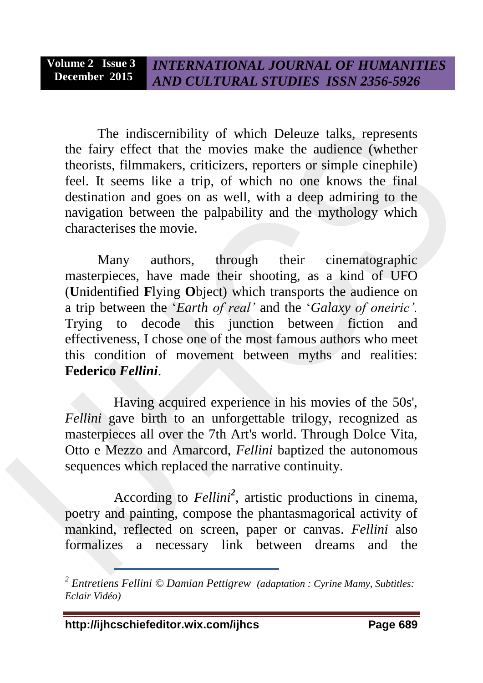The indiscernibility of which Deleuze talks, represents the fairy effect that the movies make the audience (whether theorists, filmmakers, criticizers, reporters or simple cinephile) feel. It seems like a trip, of which no one knows the final destination and goes on as well, with a deep admiring to the navigation between the palpability and the mythology which characterises the movie.

Many authors, through their cinematographic masterpieces, have made their shooting, as a kind of UFO (**U**nidentified **F**lying **O**bject) which transports the audience on a trip between the '*Earth of real'* and the '*Galaxy of oneiric'.*  Trying to decode this junction between fiction and effectiveness, I chose one of the most famous authors who meet this condition of movement between myths and realities: **Federico** *Fellini*.

Having acquired experience in his movies of the 50s', *Fellini* gave birth to an unforgettable trilogy, recognized as masterpieces all over the 7th Art's world. Through Dolce Vita, Otto e Mezzo and Amarcord, *Fellini* baptized the autonomous sequences which replaced the narrative continuity.

According to *Fellini<sup>2</sup>* , artistic productions in cinema, poetry and painting, compose the phantasmagorical activity of mankind, reflected on screen, paper or canvas. *Fellini* also formalizes a necessary link between dreams and the

*<sup>2</sup> Entretiens Fellini © Damian Pettigrew (adaptation : Cyrine Mamy, Subtitles: Eclair Vidéo)*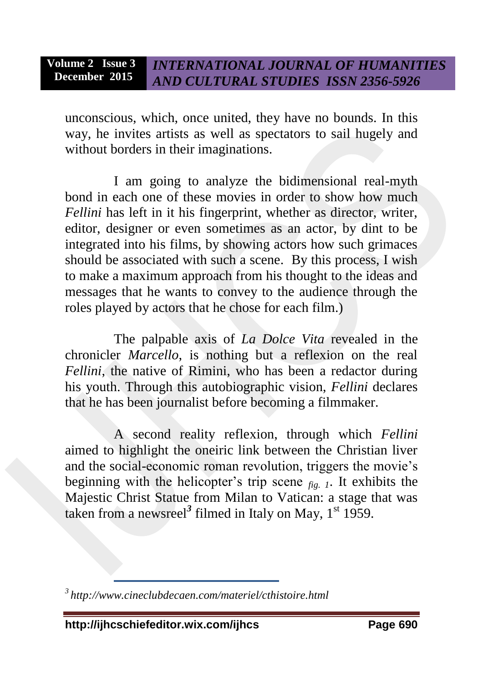unconscious, which, once united, they have no bounds. In this way, he invites artists as well as spectators to sail hugely and without borders in their imaginations.

I am going to analyze the bidimensional real-myth bond in each one of these movies in order to show how much *Fellini* has left in it his fingerprint, whether as director, writer, editor, designer or even sometimes as an actor, by dint to be integrated into his films, by showing actors how such grimaces should be associated with such a scene. By this process, I wish to make a maximum approach from his thought to the ideas and messages that he wants to convey to the audience through the roles played by actors that he chose for each film.)

The palpable axis of *La Dolce Vita* revealed in the chronicler *Marcello*, is nothing but a reflexion on the real *Fellini*, the native of Rimini, who has been a redactor during his youth. Through this autobiographic vision, *Fellini* declares that he has been journalist before becoming a filmmaker.

A second reality reflexion, through which *Fellini* aimed to highlight the oneiric link between the Christian liver and the social-economic roman revolution, triggers the movie's beginning with the helicopter's trip scene *fig. 1*. It exhibits the Majestic Christ Statue from Milan to Vatican: a stage that was taken from a newsreel<sup>3</sup> filmed in Italy on May, 1<sup>st</sup> 1959.

**http://ijhcschiefeditor.wix.com/ijhcs Page 690**

 *3 http://www.cineclubdecaen.com/materiel/cthistoire.html*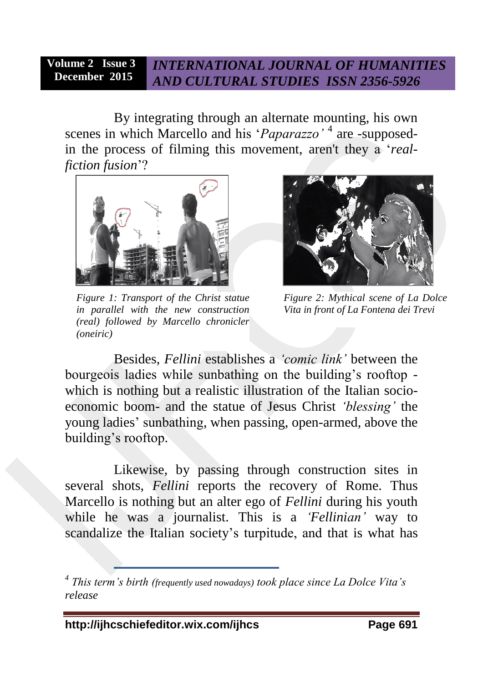By integrating through an alternate mounting, his own scenes in which Marcello and his '*Paparazzo*'<sup>4</sup> are -supposedin the process of filming this movement, aren't they a '*realfiction fusion*'?



*Figure 1: Transport of the Christ statue in parallel with the new construction (real) followed by Marcello chronicler (oneiric)*



*Figure 2: Mythical scene of La Dolce Vita in front of La Fontena dei Trevi*

Besides, *Fellini* establishes a *'comic link'* between the bourgeois ladies while sunbathing on the building's rooftop which is nothing but a realistic illustration of the Italian socioeconomic boom- and the statue of Jesus Christ *'blessing'* the young ladies' sunbathing, when passing, open-armed, above the building's rooftop.

Likewise, by passing through construction sites in several shots, *Fellini* reports the recovery of Rome. Thus Marcello is nothing but an alter ego of *Fellini* during his youth while he was a journalist. This is a *'Fellinian'* way to scandalize the Italian society's turpitude, and that is what has

*<sup>4</sup> This term's birth (frequently used nowadays) took place since La Dolce Vita's release*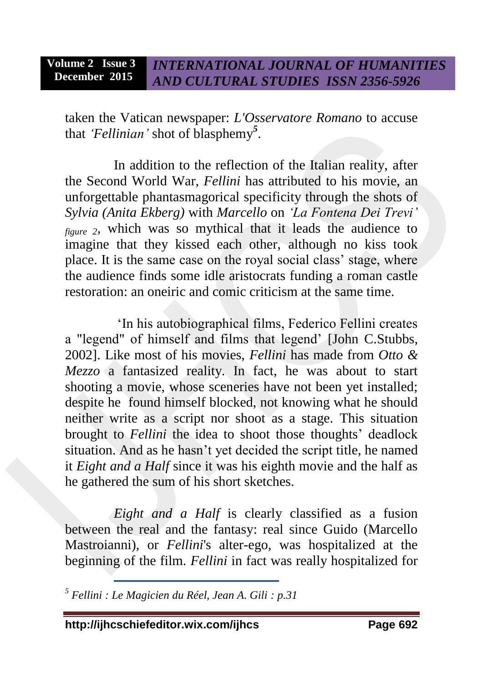taken the Vatican newspaper: *L'Osservatore Romano* to accuse that *'Fellinian'* shot of blasphemy*<sup>5</sup>* .

In addition to the reflection of the Italian reality, after the Second World War, *Fellini* has attributed to his movie, an unforgettable phantasmagorical specificity through the shots of *Sylvia (Anita Ekberg)* with *Marcello* on *'La Fontena Dei Trevi' figure 2*, which was so mythical that it leads the audience to imagine that they kissed each other, although no kiss took place. It is the same case on the royal social class' stage, where the audience finds some idle aristocrats funding a roman castle restoration: an oneiric and comic criticism at the same time.

'In his autobiographical films, Federico Fellini creates a "legend" of himself and films that legend' [John C.Stubbs, 2002]. Like most of his movies, *Fellini* has made from *Otto & Mezzo* a fantasized reality. In fact, he was about to start shooting a movie, whose sceneries have not been yet installed; despite he found himself blocked, not knowing what he should neither write as a script nor shoot as a stage. This situation brought to *Fellini* the idea to shoot those thoughts' deadlock situation. And as he hasn't yet decided the script title, he named it *Eight and a Half* since it was his eighth movie and the half as he gathered the sum of his short sketches.

*Eight and a Half* is clearly classified as a fusion between the real and the fantasy: real since Guido (Marcello Mastroianni), or *Fellini*'s alter-ego, was hospitalized at the beginning of the film. *Fellini* in fact was really hospitalized for

 *<sup>5</sup> Fellini : Le Magicien du Réel, Jean A. Gili : p.31*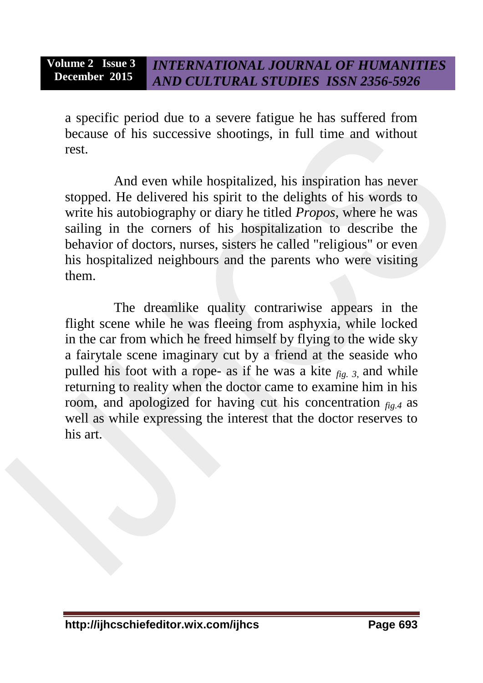a specific period due to a severe fatigue he has suffered from because of his successive shootings, in full time and without rest.

And even while hospitalized, his inspiration has never stopped. He delivered his spirit to the delights of his words to write his autobiography or diary he titled *Propos*, where he was sailing in the corners of his hospitalization to describe the behavior of doctors, nurses, sisters he called "religious" or even his hospitalized neighbours and the parents who were visiting them.

The dreamlike quality contrariwise appears in the flight scene while he was fleeing from asphyxia, while locked in the car from which he freed himself by flying to the wide sky a fairytale scene imaginary cut by a friend at the seaside who pulled his foot with a rope- as if he was a kite *fig. 3*, and while returning to reality when the doctor came to examine him in his room, and apologized for having cut his concentration  $f_{ip}$  as well as while expressing the interest that the doctor reserves to his art.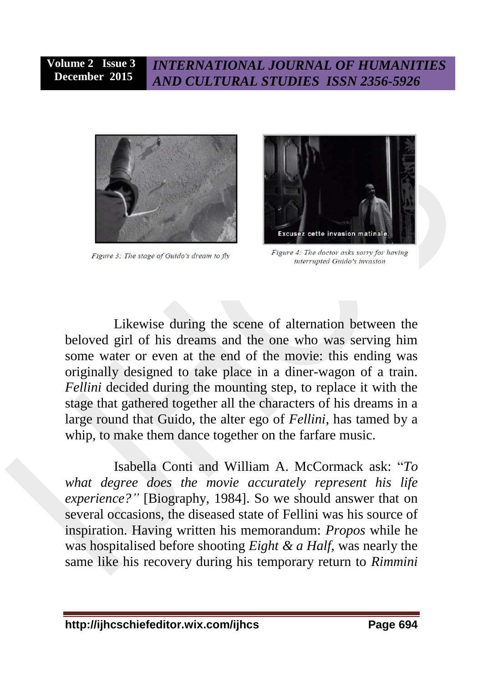

Figure 3: The stage of Guido's dream to fly



Figure 4: The doctor asks sorry for having interrupted Guido's invasion

Likewise during the scene of alternation between the beloved girl of his dreams and the one who was serving him some water or even at the end of the movie: this ending was originally designed to take place in a diner-wagon of a train. *Fellini* decided during the mounting step, to replace it with the stage that gathered together all the characters of his dreams in a large round that Guido, the alter ego of *Fellini*, has tamed by a whip, to make them dance together on the farfare music.

Isabella Conti and William A. McCormack ask: "*To what degree does the movie accurately represent his life experience?"* [Biography, 1984]. So we should answer that on several occasions, the diseased state of Fellini was his source of inspiration. Having written his memorandum: *Propos* while he was hospitalised before shooting *Eight & a Half,* was nearly the same like his recovery during his temporary return to *Rimmini*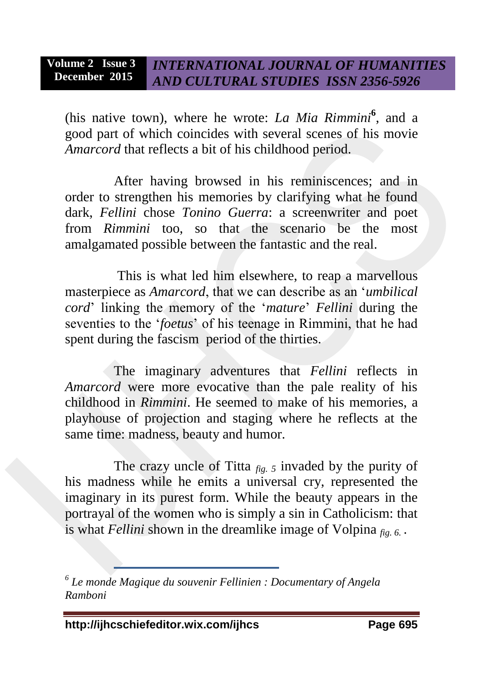(his native town), where he wrote: *La Mia Rimmini*<sup>6</sup>, and a good part of which coincides with several scenes of his movie *Amarcord* that reflects a bit of his childhood period.

After having browsed in his reminiscences; and in order to strengthen his memories by clarifying what he found dark, *Fellini* chose *Tonino Guerra*: a screenwriter and poet from *Rimmini* too, so that the scenario be the most amalgamated possible between the fantastic and the real.

This is what led him elsewhere, to reap a marvellous masterpiece as *Amarcord*, that we can describe as an '*umbilical cord*' linking the memory of the '*mature*' *Fellini* during the seventies to the '*foetus*' of his teenage in Rimmini, that he had spent during the fascism period of the thirties.

The imaginary adventures that *Fellini* reflects in *Amarcord* were more evocative than the pale reality of his childhood in *Rimmini*. He seemed to make of his memories, a playhouse of projection and staging where he reflects at the same time: madness, beauty and humor.

The crazy uncle of Titta *fig. 5* invaded by the purity of his madness while he emits a universal cry, represented the imaginary in its purest form. While the beauty appears in the portrayal of the women who is simply a sin in Catholicism: that is what *Fellini* shown in the dreamlike image of Volpina *fig. 6.* .

*<sup>6</sup> Le monde Magique du souvenir Fellinien : Documentary of Angela Ramboni*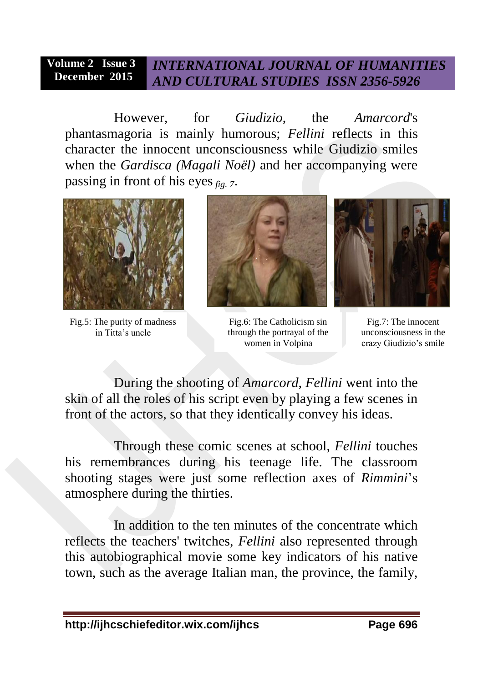However, for *Giudizio*, the *Amarcord*'s phantasmagoria is mainly humorous; *Fellini* reflects in this character the innocent unconsciousness while Giudizio smiles when the *Gardisca (Magali Noël)* and her accompanying were passing in front of his eyes*fig. 7*.



Fig.5: The purity of madness in Titta's uncle



Fig.6: The Catholicism sin through the portrayal of the women in Volpina



Fig.7: The innocent unconsciousness in the crazy Giudizio's smile

During the shooting of *Amarcord*, *Fellini* went into the skin of all the roles of his script even by playing a few scenes in front of the actors, so that they identically convey his ideas.

Through these comic scenes at school, *Fellini* touches his remembrances during his teenage life. The classroom shooting stages were just some reflection axes of *Rimmini*'s atmosphere during the thirties.

In addition to the ten minutes of the concentrate which reflects the teachers' twitches, *Fellini* also represented through this autobiographical movie some key indicators of his native town, such as the average Italian man, the province, the family,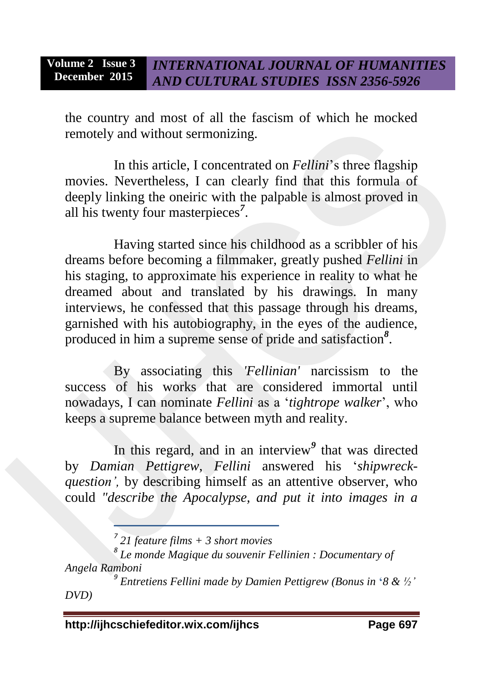the country and most of all the fascism of which he mocked remotely and without sermonizing.

In this article, I concentrated on *Fellini*'s three flagship movies. Nevertheless, I can clearly find that this formula of deeply linking the oneiric with the palpable is almost proved in all his twenty four masterpieces*<sup>7</sup>* .

Having started since his childhood as a scribbler of his dreams before becoming a filmmaker, greatly pushed *Fellini* in his staging, to approximate his experience in reality to what he dreamed about and translated by his drawings. In many interviews, he confessed that this passage through his dreams, garnished with his autobiography, in the eyes of the audience, produced in him a supreme sense of pride and satisfaction*<sup>8</sup>* .

By associating this *'Fellinian'* narcissism to the success of his works that are considered immortal until nowadays, I can nominate *Fellini* as a '*tightrope walker*', who keeps a supreme balance between myth and reality.

In this regard, and in an interview*<sup>9</sup>* that was directed by *Damian Pettigrew*, *Fellini* answered his '*shipwreckquestion',* by describing himself as an attentive observer, who could *"describe the Apocalypse, and put it into images in a* 

*<sup>7</sup> 21 feature films + 3 short movies*

*<sup>8</sup> Le monde Magique du souvenir Fellinien : Documentary of Angela Ramboni*

*<sup>9</sup> Entretiens Fellini made by Damien Pettigrew (Bonus in* **'***8 & ½' DVD)*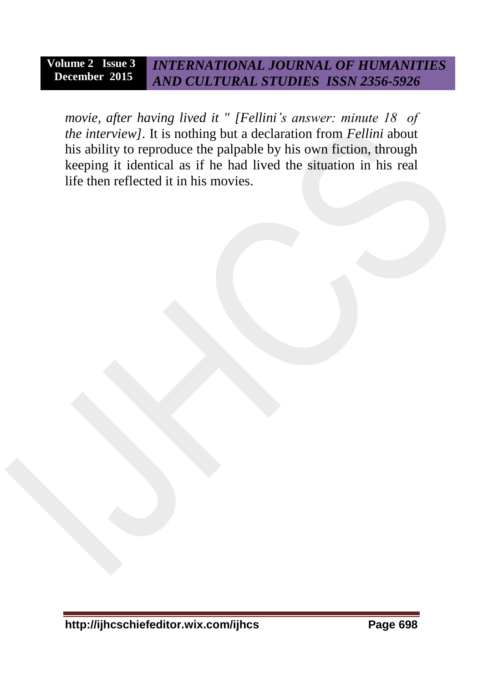*movie, after having lived it " [Fellini's answer: minute 18 of the interview].* It is nothing but a declaration from *Fellini* about his ability to reproduce the palpable by his own fiction, through keeping it identical as if he had lived the situation in his real life then reflected it in his movies.